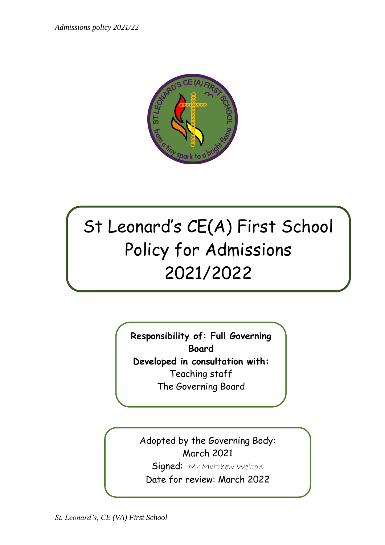*Admissions policy 2021/22*



# St Leonard's CE(A) First School Policy for Admissions 2021/2022

**Responsibility of: Full Governing Board Developed in consultation with:** Teaching staff

The Governing Board

Adopted by the Governing Body: March 2021

Signed: Mr Matthew Welton

Date for review: March 2022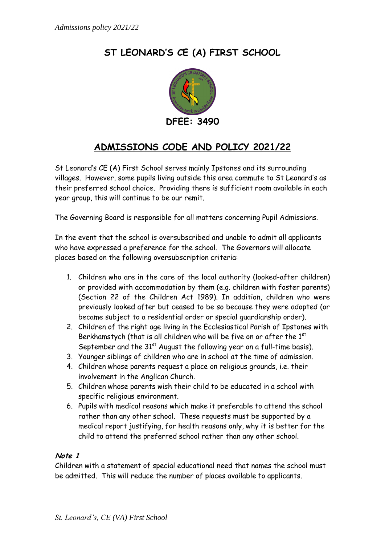# **ST LEONARD'S CE (A) FIRST SCHOOL**



# **ADMISSIONS CODE AND POLICY 2021/22**

St Leonard's CE (A) First School serves mainly Ipstones and its surrounding villages. However, some pupils living outside this area commute to St Leonard's as their preferred school choice. Providing there is sufficient room available in each year group, this will continue to be our remit.

The Governing Board is responsible for all matters concerning Pupil Admissions.

In the event that the school is oversubscribed and unable to admit all applicants who have expressed a preference for the school. The Governors will allocate places based on the following oversubscription criteria:

- 1. Children who are in the care of the local authority (looked-after children) or provided with accommodation by them (e.g. children with foster parents) (Section 22 of the Children Act 1989). In addition, children who were previously looked after but ceased to be so because they were adopted (or became subject to a residential order or special guardianship order).
- 2. Children of the right age living in the Ecclesiastical Parish of Ipstones with Berkhamstych (that is all children who will be five on or after the 1st September and the  $31<sup>st</sup>$  August the following year on a full-time basis).
- 3. Younger siblings of children who are in school at the time of admission.
- 4. Children whose parents request a place on religious grounds, i.e. their involvement in the Anglican Church.
- 5. Children whose parents wish their child to be educated in a school with specific religious environment.
- 6. Pupils with medical reasons which make it preferable to attend the school rather than any other school. These requests must be supported by a medical report justifying, for health reasons only, why it is better for the child to attend the preferred school rather than any other school.

# **Note 1**

Children with a statement of special educational need that names the school must be admitted. This will reduce the number of places available to applicants.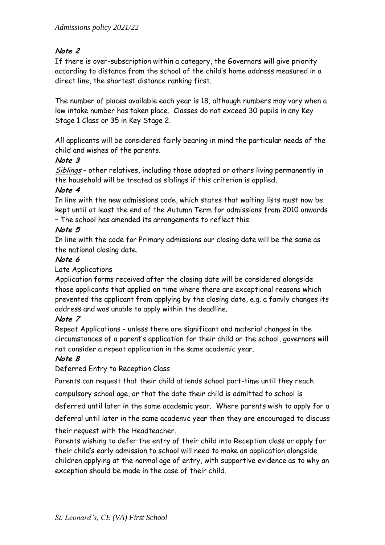# **Note 2**

If there is over-subscription within a category, the Governors will give priority according to distance from the school of the child's home address measured in a direct line, the shortest distance ranking first.

The number of places available each year is 18, although numbers may vary when a low intake number has taken place. Classes do not exceed 30 pupils in any Key Stage 1 Class or 35 in Key Stage 2.

All applicants will be considered fairly bearing in mind the particular needs of the child and wishes of the parents.

# **Note 3**

Siblings - other relatives, including those adopted or others living permanently in the household will be treated as siblings if this criterion is applied.

# **Note 4**

In line with the new admissions code, which states that waiting lists must now be kept until at least the end of the Autumn Term for admissions from 2010 onwards – The school has amended its arrangements to reflect this.

#### **Note 5**

In line with the code for Primary admissions our closing date will be the same as the national closing date.

#### **Note 6**

Late Applications

Application forms received after the closing date will be considered alongside those applicants that applied on time where there are exceptional reasons which prevented the applicant from applying by the closing date, e.g. a family changes its address and was unable to apply within the deadline.

#### **Note 7**

Repeat Applications - unless there are significant and material changes in the circumstances of a parent's application for their child or the school, governors will not consider a repeat application in the same academic year.

#### **Note 8**

Deferred Entry to Reception Class

Parents can request that their child attends school part-time until they reach

compulsory school age, or that the date their child is admitted to school is

deferred until later in the same academic year. Where parents wish to apply for a deferral until later in the same academic year then they are encouraged to discuss

their request with the Headteacher.

Parents wishing to defer the entry of their child into Reception class or apply for their child's early admission to school will need to make an application alongside children applying at the normal age of entry, with supportive evidence as to why an exception should be made in the case of their child.